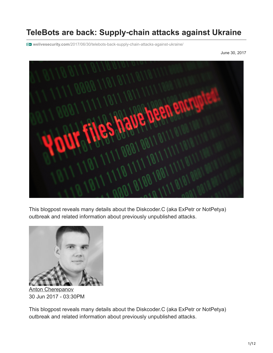# **TeleBots are back: Supply**‑**chain attacks against Ukraine**

**welivesecurity.com**[/2017/06/30/telebots-back-supply-chain-attacks-against-ukraine/](https://www.welivesecurity.com/2017/06/30/telebots-back-supply-chain-attacks-against-ukraine/)

June 30, 2017



This blogpost reveals many details about the Diskcoder.C (aka ExPetr or NotPetya) outbreak and related information about previously unpublished attacks.



[Anton Cherepanov](https://www.welivesecurity.com/author/acherepanov/) 30 Jun 2017 - 03:30PM

This blogpost reveals many details about the Diskcoder.C (aka ExPetr or NotPetya) outbreak and related information about previously unpublished attacks.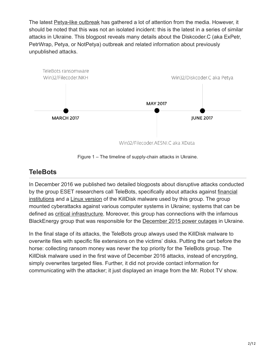The latest [Petya-like outbreak](https://www.welivesecurity.com/2017/06/27/new-ransomware-attack-hits-ukraine/) has gathered a lot of attention from the media. However, it should be noted that this was not an isolated incident: this is the latest in a series of similar attacks in Ukraine. This blogpost reveals many details about the Diskcoder.C (aka ExPetr, PetrWrap, Petya, or NotPetya) outbreak and related information about previously unpublished attacks.



Figure 1 – The timeline of supply-chain attacks in Ukraine.

#### **TeleBots**

In December 2016 we published two detailed blogposts about disruptive attacks conducted [by the group ESET researchers call TeleBots, specifically about attacks against financial](https://www.welivesecurity.com/2016/12/13/rise-telebots-analyzing-disruptive-killdisk-attacks/) institutions and a [Linux version](https://www.welivesecurity.com/2017/01/05/killdisk-now-targeting-linux-demands-250k-ransom-cant-decrypt/) of the KillDisk malware used by this group. The group mounted cyberattacks against various computer systems in Ukraine; systems that can be defined as [critical infrastructure](https://en.wikipedia.org/wiki/Critical_infrastructure). Moreover, this group has connections with the infamous BlackEnergy group that was responsible for the [December 2015 power outages](https://www.welivesecurity.com/2016/01/03/blackenergy-sshbeardoor-details-2015-attacks-ukrainian-news-media-electric-industry/) in Ukraine.

In the final stage of its attacks, the TeleBots group always used the KillDisk malware to overwrite files with specific file extensions on the victims' disks. Putting the cart before the horse: collecting ransom money was never the top priority for the TeleBots group. The KillDisk malware used in the first wave of December 2016 attacks, instead of encrypting, simply overwrites targeted files. Further, it did not provide contact information for communicating with the attacker; it just displayed an image from the Mr. Robot TV show.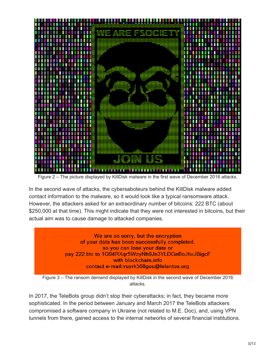

Figure 2 – The picture displayed by KillDisk malware in the first wave of December 2016 attacks.

In the second wave of attacks, the cybersaboteurs behind the KillDisk malware added contact information to the malware, so it would look like a typical ransomware attack. However, the attackers asked for an extraordinary number of bitcoins: 222 BTC (about \$250,000 at that time). This might indicate that they were not interested in bitcoins, but their actual aim was to cause damage to attacked companies.

> We are so sorry, but the encryption of your data has been successfully completed, so you can lose your data or pay 222 btc to 1Q94RXqr5WzyNh9Jn3YLDGeBoJhxJBigcF with blockchain.info contact e-mail: vuyrk568gou@lelantos.org

Figure 3 – The ransom demand displayed by KillDisk in the second wave of December 2016 attacks.

In 2017, the TeleBots group didn't stop their cyberattacks; in fact, they became more sophisticated. In the period between January and March 2017 the TeleBots attackers compromised a software company in Ukraine (not related to M.E. Doc), and, using VPN tunnels from there, gained access to the internal networks of several financial institutions.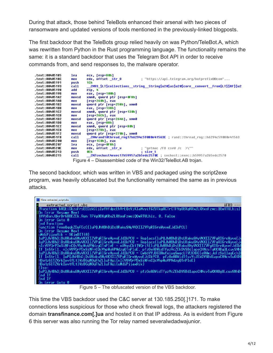During that attack, those behind TeleBots enhanced their arsenal with two pieces of ransomware and updated versions of tools mentioned in the previously-linked blogposts.

The first backdoor that the TeleBots group relied heavily on was Python/TeleBot.A, which was rewritten from Python in the Rust programming language. The functionality remains the same: it is a standard backdoor that uses the Telegram Bot API in order to receive commands from, and send responses to, the malware operator.

| text:00405185. | lea        | ecx, [esp+80h]                                                                              |
|----------------|------------|---------------------------------------------------------------------------------------------|
| text:0040518C. | mov.       | ; "https://api.teleqram.orq/botprefix@@com"<br>edx, offset str O                            |
| text:00405191. | push       | 1Ch                                                                                         |
| text:00405193. | call       | – ZN93 \$LT\$collections  string  String\$u20\$as\$u20\$core  convert  From\$LT\$\$RF\$\$u2 |
| text:00405198. | add        | esp, 4                                                                                      |
| text:0040519B. | <b>MOV</b> | eax, [esp+100h]                                                                             |
| text:004051A2. | movsd      | xmm0, qword ptr [esp+0F8h]                                                                  |
| text:004051AB. | mov        | [esp+260h], eax                                                                             |
| text:004051B2. | movsd      | qword ptr [esp+258h], xmm0                                                                  |
| text:004051BB. | mov        | eax, [esp+138h]                                                                             |
| text:004051C2. | movsd      | xmm0, qword ptr [esp+130h]                                                                  |
| text:004051CB. | mov        | [esp+26Ch], eax                                                                             |
| text:004051D2. | movsd      | qword ptr [esp+264h], xmm0                                                                  |
| text:004051DB. | mov        | eax, [esp+88h]                                                                              |
| text:004051E2. | movsd      | xmm0, qword ptr [esp+80h]                                                                   |
| .text:004051EB | mov        | $[esp+278h]$ , eax                                                                          |
| text:004051F2. | movsd      | qword ptr [esp+270h], xmm0                                                                  |
| text:004051FB. | call       | ZN4rand10thread rnq17h6294c59080e41563E ; rand::thread rnq::h6294c59080e41563               |
| text:00405200. | mov        | [esp+1C0h], eax                                                                             |
| text:00405207. | lea        | ecx, [esp+0F8h]                                                                             |
| .text:0040520E | <b>MOV</b> | : "getmac /FO csvW /c $\rightarrow$ \""<br>edx, offset str v                                |
| text:00405213. | push       | ; size t<br>0E h                                                                            |
| text:00405215. | call       | 2N7suchost4exec17h59957a2b5edc2570E : suchost::exec::h59957a2b5edc2570                      |
|                |            | Figure 4 – Disassembled code of the Win32/TeleBot.AB trojan.                                |

The second backdoor, which was written in VBS and packaged using the script2exe program, was heavily obfuscated but the functionality remained the same as in previous attacks.



Figure 5 – The obfuscated version of the VBS backdoor.

This time the VBS backdoor used the C&C server at 130.185.250[.]171. To make connections less suspicious for those who check firewall logs, the attackers registered the domain **transfinance.com[.]ua** and hosted it on that IP address. As is evident from Figure 6 this server was also running the Tor relay named severalwdadwajunior.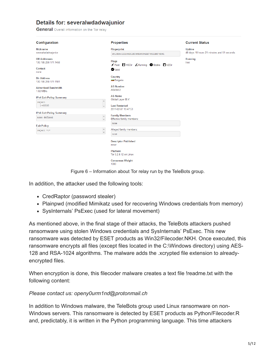#### Details for: severalwdadwajunior

**General** Overall information on the Tor relay

| Configuration                                                                                            | <b>Properties</b>                                              | <b>Current Status</b>                                       |
|----------------------------------------------------------------------------------------------------------|----------------------------------------------------------------|-------------------------------------------------------------|
| <b>Nickname</b><br>severalwdadwajunior                                                                   | <b>Fingerprint</b><br>4513E6402D186DC2EC65E95394AE78821BE78D91 | <b>Uptime</b><br>48 days 18 hours 21 minutes and 51 seconds |
| <b>OR Addresses</b><br>130.185.250.171:1458                                                              | <b>Flags</b><br>Fast FHSDir ARunning Stable TV2Dir             | Running<br>true                                             |
| <b>Contact</b><br>none                                                                                   | <b>Valid</b>                                                   |                                                             |
| <b>Dir Address</b><br>130.185.250.171:1101                                                               | Country<br>Bulgaria                                            |                                                             |
| <b>Advertised Bandwidth</b><br>$1.02$ MB/s                                                               | <b>AS Number</b><br>AS49453                                    |                                                             |
| <b>IPv4 Exit Policy Summary</b><br>$\blacktriangle$<br>reject<br>$\overline{\phantom{a}}$<br>$1 - 65535$ | <b>AS Name</b><br>Global Layer B.V.<br><b>Last Restarted</b>   |                                                             |
| <b>IPv6 Exit Policy Summary</b>                                                                          | 2017-02-07 19:47:53                                            |                                                             |
| $\blacktriangle$<br>none defined<br>$\overline{\phantom{a}}$                                             | <b>Family Members</b><br>Effective family members:             |                                                             |
| <b>Exit Policy</b>                                                                                       | none                                                           |                                                             |
| $\blacktriangle$<br>reject *:*<br>$\overline{\nabla}$                                                    | Alleged family members:<br>none                                |                                                             |
|                                                                                                          | <b>Descriptor Published</b><br>never                           |                                                             |
|                                                                                                          | Platform<br>Tor 0.2.8.12 on Linux                              |                                                             |
|                                                                                                          | <b>Consensus Weight</b><br>1080                                |                                                             |

Figure 6 – Information about Tor relay run by the TeleBots group.

In addition, the attacker used the following tools:

- CredRaptor (password stealer)
- Plainpwd (modified Mimikatz used for recovering Windows credentials from memory)
- SysInternals' PsExec (used for lateral movement)

As mentioned above, in the final stage of their attacks, the TeleBots attackers pushed ransomware using stolen Windows credentials and SysInternals' PsExec. This new ransomware was detected by ESET products as Win32/Filecoder.NKH. Once executed, this ransomware encrypts all files (except files located in the C:\Windows directory) using AES-128 and RSA-1024 algorithms. The malware adds the .xcrypted file extension to alreadyencrypted files.

When encryption is done, this filecoder malware creates a text file !readme.txt with the following content:

#### *Please contact us: openy0urm1nd@protonmail.ch*

In addition to Windows malware, the TeleBots group used Linux ransomware on non-Windows servers. This ransomware is detected by ESET products as Python/Filecoder.R and, predictably, it is written in the Python programming language. This time attackers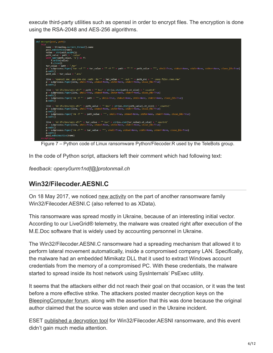execute third-party utilities such as openssl in order to encrypt files. The encryption is done using the RSA-2048 and AES-256 algorithms.



Figure 7 – Python code of Linux ransomware Python/Filecoder.R used by the TeleBots group.

In the code of Python script, attackers left their comment which had following text:

*feedback: openy0urm1nd[@]protonmail.ch*

#### **Win32/Filecoder.AESNI.C**

On 18 May 2017, we noticed [new activity](https://www.welivesecurity.com/2017/05/23/xdata-ransomware-making-rounds-amid-global-wannacryptor-scare/) on the part of another ransomware family Win32/Filecoder.AESNI.C (also referred to as XData).

This ransomware was spread mostly in Ukraine, because of an interesting initial vector. According to our LiveGrid® telemetry, the malware was created right after execution of the M.E.Doc software that is widely used by accounting personnel in Ukraine.

The Win32/Filecoder.AESNI.C ransomware had a spreading mechanism that allowed it to perform lateral movement automatically, inside a compromised company LAN. Specifically, the malware had an embedded Mimikatz DLL that it used to extract Windows account credentials from the memory of a compromised PC. With these credentials, the malware started to spread inside its host network using SysInternals' PsExec utility.

It seems that the attackers either did not reach their goal on that occasion, or it was the test before a more effective strike. The attackers posted master decryption keys on the Bleeping Computer forum, along with the assertion that this was done because the original author claimed that the source was stolen and used in the Ukraine incident.

ESET [published a decryption tool](https://www.welivesecurity.com/2017/05/31/eset-releases-new-decryption-tool-aes-ni-ransomware/) for Win32/Filecoder.AESNI ransomware, and this event didn't gain much media attention.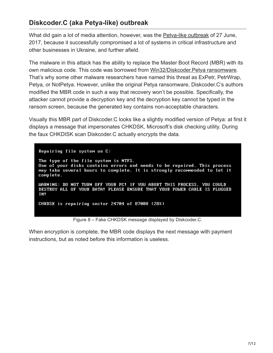# **Diskcoder.C (aka Petya-like) outbreak**

What did gain a lot of media attention, however, was the [Petya-like outbreak](https://www.welivesecurity.com/2017/06/27/new-ransomware-attack-hits-ukraine/) of 27 June, 2017, because it successfully compromised a lot of systems in critical infrastructure and other businesses in Ukraine, and further afield.

The malware in this attack has the ability to replace the Master Boot Record (MBR) with its own malicious code. This code was borrowed from [Win32/Diskcoder.Petya ransomware](http://virusradar.com/en/Win32_Diskcoder.Petya.B/description). That's why some other malware researchers have named this threat as ExPetr, PetrWrap, Petya, or NotPetya. However, unlike the original Petya ransomware, Diskcoder.C's authors modified the MBR code in such a way that recovery won't be possible. Specifically, the attacker cannot provide a decryption key and the decryption key cannot be typed in the ransom screen, because the generated key contains non-acceptable characters.

Visually this MBR part of Diskcoder.C looks like a slightly modified version of Petya: at first it displays a message that impersonates CHKDSK, Microsoft's disk checking utility. During the faux CHKDISK scan Diskcoder.C actually encrypts the data.

Repairing file system on C: The type of the file system is NTFS. One of your disks contains errors and needs to be repaired. This process May take several hours to complete. It is strongly recommended to let it complete. WARNING: DO NOT TURN OFF YOUR PC! IF YOU ABORT THIS PROCESS, YOU COULD DESTROY ALL OF YOUR DATA! PLEASE ENSURE THAT YOUR POWER CABLE IS PLUGGED IN! CHKDSK is repairing sector 24704 of 87008 (28%)

Figure 8 – Fake CHKDSK message displayed by Diskcoder.C.

When encryption is complete, the MBR code displays the next message with payment instructions, but as noted before this information is useless.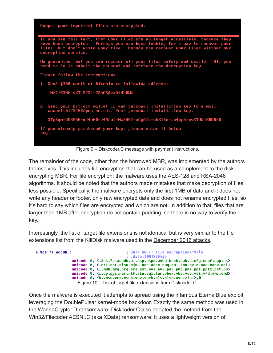

Figure 9 – Diskcoder.C message with payment instructions.

The remainder of the code, other than the borrowed MBR, was implemented by the authors themselves. This includes file encryption that can be used as a complement to the diskencrypting MBR. For file encryption, the malware uses the AES-128 and RSA-2048 algorithms. It should be noted that the authors made mistakes that make decryption of files less possible. Specifically, the malware encrypts only the first 1MB of data and it does not write any header or footer, only raw encrypted data and does not rename encrypted files, so it's hard to say which files are encrypted and which are not. In addition to that, files that are larger than 1MB after encryption do not contain padding, so there is no way to verify the key.

Interestingly, the list of target file extensions is not identical but is very similar to the file extensions list from the KillDisk malware used in the [December 2016 attacks](https://www.welivesecurity.com/2016/12/13/rise-telebots-analyzing-disruptive-killdisk-attacks/).

| a 3ds 7z accdb : | : DATA XREF: file encruption+197To                                                                                                 |
|------------------|------------------------------------------------------------------------------------------------------------------------------------|
|                  | : .data:10018BD41o                                                                                                                 |
|                  | unicode 0, <.3ds.7z.accdb.ai.asp.aspx.avhd.back.bak.c.cfq.conf.cpp.cs>                                                             |
|                  | unicode 0, <.ctl.dbf.disk.djvu.doc.docx.dwq.eml.fdb.qz.h.hdd.kdbx.mai>                                                             |
|                  | unicode 0, <1.mdb.msq.nrq.ora.ost.ova.ovf.pdf.php.pmf.ppt.pptx.pst.pv>                                                             |
|                  | unicode 0, <i.py.pyc.rar.rtf.sln.sql.tar.ubox.ubs.ucb.udi.ufd.umc.umd></i.py.pyc.rar.rtf.sln.sql.tar.ubox.ubs.ucb.udi.ufd.umc.umd> |
|                  | unicode 0, <k.vmsd.vmx.vsdx.vsv.work.xls.xlsx.xvd.zip.>.0</k.vmsd.vmx.vsdx.vsv.work.xls.xlsx.xvd.zip.>                             |
|                  | Figure 10 – List of target file extensions from Diskcoder.C.                                                                       |

Once the malware is executed it attempts to spread using the infamous EternalBlue exploit, leveraging the DoublePulsar kernel-mode backdoor. Exactly the same method was used in the WannaCryptor.D ransomware. Diskcoder.C also adopted the method from the Win32/Filecoder.AESNI.C (aka XData) ransomware: it uses a lightweight version of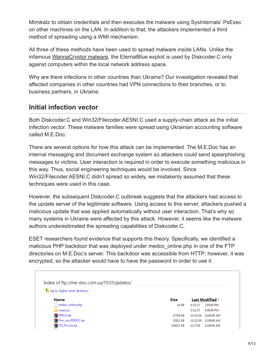Mimikatz to obtain credentials and then executes the malware using SysInternals' PsExec on other machines on the LAN. In addition to that, the attackers implemented a third method of spreading using a WMI mechanism.

All three of these methods have been used to spread malware inside LANs. Unlike the infamous [WannaCryptor malware](https://www.welivesecurity.com/2017/05/15/wannacryptor-key-questions-answered/), the EternalBlue exploit is used by Diskcoder.C only against computers within the local network address space.

Why are there infections in other countries than Ukraine? Our investigation revealed that affected companies in other countries had VPN connections to their branches, or to business partners, in Ukraine.

#### **Initial infection vector**

Both Diskcoder.C and Win32/Filecoder.AESNI.C used a supply-chain attack as the initial infection vector. These malware families were spread using Ukrainian accounting software called M.E.Doc.

There are several options for how this attack can be implemented. The M.E.Doc has an internal messaging and document exchange system so attackers could send spearphishing messages to victims. User interaction is required in order to execute something malicious in this way. Thus, social engineering techniques would be involved. Since Win32/Filecoder.AESNI.C didn't spread so widely, we mistakenly assumed that these techniques were used in this case.

However, the subsequent Diskcoder.C outbreak suggests that the attackers had access to the update server of the legitimate software. Using access to this server, attackers pushed a malicious update that was applied automatically without user interaction. That's why so many systems in Ukraine were affected by this attack. However, it seems like the malware authors underestimated the spreading capabilities of Diskcoder.C.

ESET researchers found evidence that supports this theory. Specifically, we identified a malicious PHP backdoor that was deployed under medoc online.php in one of the FTP directories on M.E.Doc's server. This backdoor was accessible from HTTP; however, it was encrypted, so the attacker would have to have the password in order to use it.

| Index of ftp://me-doc.com.ua/TESTUpdates/ |             |                 |                      |
|-------------------------------------------|-------------|-----------------|----------------------|
| Up to higher level directory              |             |                 |                      |
| <b>Name</b>                               | <b>Size</b> | Last Modified 1 |                      |
| medoc_online.php                          | 16 KB       | 5/31/17         | 2:45:00 PM           |
| medoc1c                                   |             | 5/11/17         | 4:30:00 PM           |
| UPDv2.zip                                 | 17745 KB    |                 | 12/15/16 12:00:00 AM |
| Proc_ora_RDDOC.zip                        | 15512 KB    | 12/12/16        | 12:00:00 AM          |
| 152_for_ora.zip                           | 110027 KB   | 12/7/16         | 12:00:00 AM          |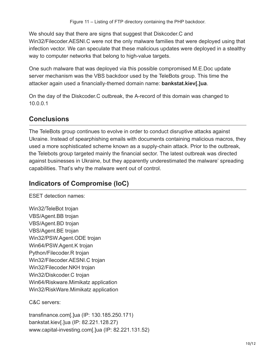We should say that there are signs that suggest that Diskcoder.C and Win32/Filecoder.AESNI.C were not the only malware families that were deployed using that infection vector. We can speculate that these malicious updates were deployed in a stealthy way to computer networks that belong to high-value targets.

One such malware that was deployed via this possible compromised M.E.Doc update server mechanism was the VBS backdoor used by the TeleBots group. This time the attacker again used a financially-themed domain name: **bankstat.kiev[.]ua**.

On the day of the Diskcoder.C outbreak, the A-record of this domain was changed to 10.0.0.1

## **Conclusions**

The TeleBots group continues to evolve in order to conduct disruptive attacks against Ukraine. Instead of spearphishing emails with documents containing malicious macros, they used a more sophisticated scheme known as a supply-chain attack. Prior to the outbreak, the Telebots group targeted mainly the financial sector. The latest outbreak was directed against businesses in Ukraine, but they apparently underestimated the malware' spreading capabilities. That's why the malware went out of control.

## **Indicators of Compromise (IoC)**

ESET detection names:

Win32/TeleBot trojan VBS/Agent.BB trojan VBS/Agent.BD trojan VBS/Agent.BE trojan Win32/PSW.Agent.ODE trojan Win64/PSW.Agent.K trojan Python/Filecoder.R trojan Win32/Filecoder.AESNI.C trojan Win32/Filecoder.NKH trojan Win32/Diskcoder.C trojan Win64/Riskware.Mimikatz application Win32/RiskWare.Mimikatz application

C&C servers:

transfinance.com[.]ua (IP: 130.185.250.171) bankstat.kiev[.]ua (IP: 82.221.128.27) www.capital-investing.com[.]ua (IP: 82.221.131.52)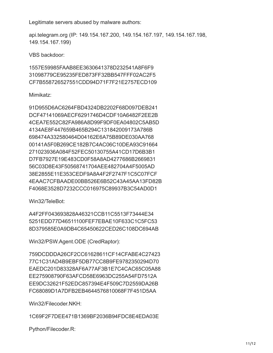Legitimate servers abused by malware authors:

api.telegram.org (IP: 149.154.167.200, 149.154.167.197, 149.154.167.198, 149.154.167.199)

VBS backdoor:

1557E59985FAAB8EE3630641378D232541A8F6F9 31098779CE95235FED873FF32BB547FFF02AC2F5 CF7B558726527551CDD94D71F7F21E2757ECD109

#### Mimikatz:

91D955D6AC6264FBD4324DB2202F68D097DEB241 DCF47141069AECF6291746D4CDF10A6482F2EE2B 4CEA7E552C82FA986A8D99F9DF0EA04802C5AB5D 4134AE8F447659B465B294C131842009173A786B 698474A332580464D04162E6A75B89DE030AA768 00141A5F0B269CE182B7C4AC06C10DEA93C91664 271023936A084F52FEC50130755A41CD17D6B3B1 D7FB7927E19E483CD0F58A8AD4277686B2669831 56C03D8E43F50568741704AEE482704A4F5005AD 38E2855E11E353CEDF9A8A4F2F2747F1C5C07FCF 4EAAC7CFBAADE00BB526E6B52C43A45AA13FD82B F4068E3528D7232CCC016975C89937B3C54AD0D1

Win32/TeleBot:

A4F2FF043693828A46321CCB11C5513F73444E34 5251EDD77D46511100FEF7EBAE10F633C1C5FC53 8D379585E0A9DB4C65450622CED26C108DC694AB

Win32/PSW.Agent.ODE (CredRaptor):

759DCDDDA26CF2CC61628611CF14CFABE4C27423 77C1C31AD4B9EBF5DB77CC8B9FE9782350294D70 EAEDC201D83328AF6A77AF3B1E7C4CAC65C05A88 EE275908790F63AFCD58E6963DC255A54FD7512A EE9DC32621F52EDC857394E4F509C7D2559DA26B FC68089D1A7DFB2EB4644576810068F7F451D5AA

Win32/Filecoder.NKH:

1C69F2F7DEE471B1369BF2036B94FDC8E4EDA03E

Python/Filecoder.R: